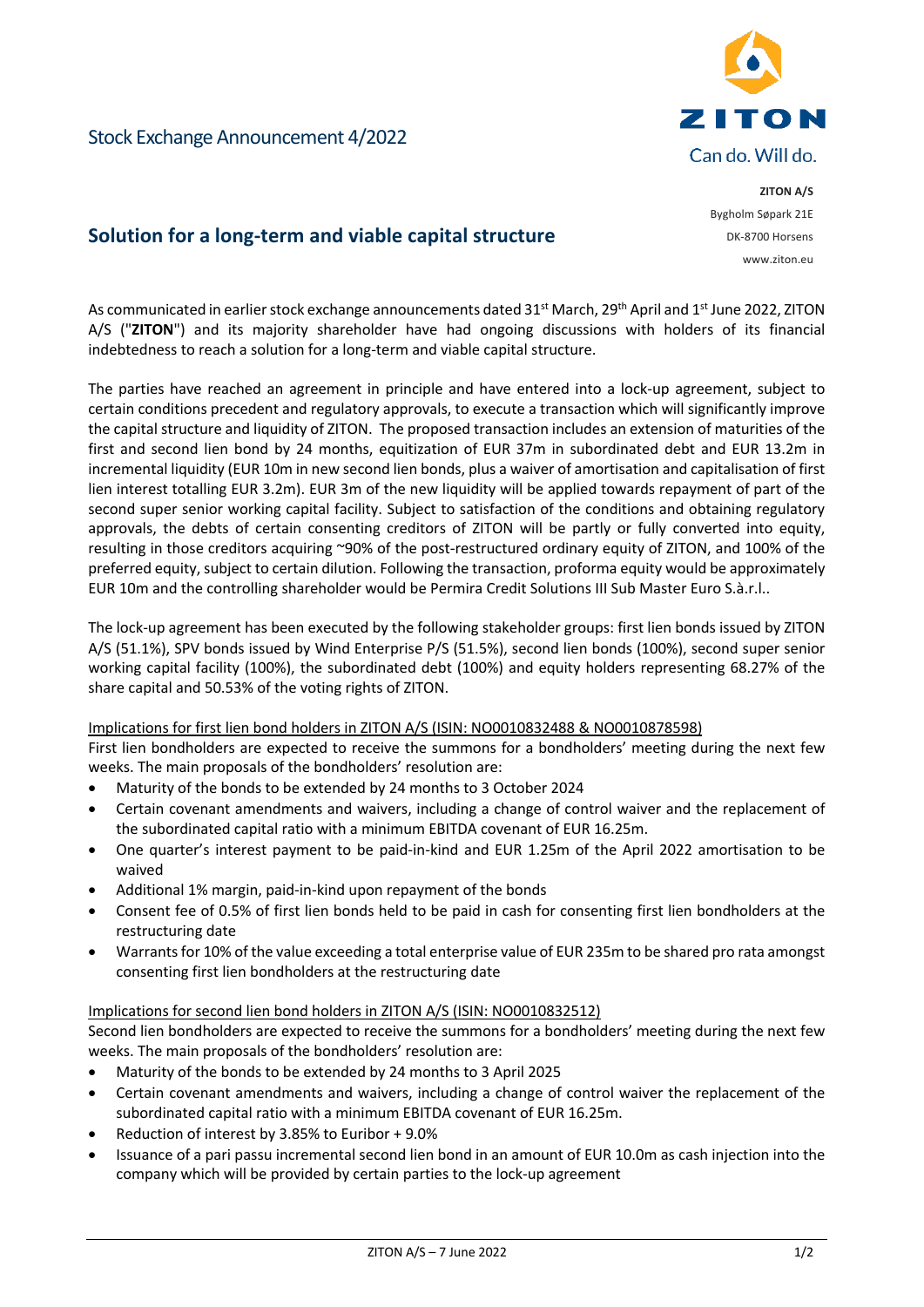

**ZITON A/S** Bygholm Søpark 21E DK-8700 Horsens www.ziton.eu

Stock Exchange Announcement 4/2022

# **Solution for a long-term and viable capital structure**

As communicated in earlier stock exchange announcements dated 31<sup>st</sup> March, 29<sup>th</sup> April and 1<sup>st</sup> June 2022, ZITON A/S ("**ZITON**") and its majority shareholder have had ongoing discussions with holders of its financial indebtedness to reach a solution for a long-term and viable capital structure.

The parties have reached an agreement in principle and have entered into a lock-up agreement, subject to certain conditions precedent and regulatory approvals, to execute a transaction which will significantly improve the capital structure and liquidity of ZITON. The proposed transaction includes an extension of maturities of the first and second lien bond by 24 months, equitization of EUR 37m in subordinated debt and EUR 13.2m in incremental liquidity (EUR 10m in new second lien bonds, plus a waiver of amortisation and capitalisation of first lien interest totalling EUR 3.2m). EUR 3m of the new liquidity will be applied towards repayment of part of the second super senior working capital facility. Subject to satisfaction of the conditions and obtaining regulatory approvals, the debts of certain consenting creditors of ZITON will be partly or fully converted into equity, resulting in those creditors acquiring ~90% of the post-restructured ordinary equity of ZITON, and 100% of the preferred equity, subject to certain dilution. Following the transaction, proforma equity would be approximately EUR 10m and the controlling shareholder would be Permira Credit Solutions III Sub Master Euro S.à.r.l..

The lock-up agreement has been executed by the following stakeholder groups: first lien bonds issued by ZITON A/S (51.1%), SPV bonds issued by Wind Enterprise P/S (51.5%), second lien bonds (100%), second super senior working capital facility (100%), the subordinated debt (100%) and equity holders representing 68.27% of the share capital and 50.53% of the voting rights of ZITON.

### Implications for first lien bond holders in ZITON A/S (ISIN: NO0010832488 & NO0010878598)

First lien bondholders are expected to receive the summons for a bondholders' meeting during the next few weeks. The main proposals of the bondholders' resolution are:

- Maturity of the bonds to be extended by 24 months to 3 October 2024
- Certain covenant amendments and waivers, including a change of control waiver and the replacement of the subordinated capital ratio with a minimum EBITDA covenant of EUR 16.25m.
- One quarter's interest payment to be paid-in-kind and EUR 1.25m of the April 2022 amortisation to be waived
- Additional 1% margin, paid-in-kind upon repayment of the bonds
- Consent fee of 0.5% of first lien bonds held to be paid in cash for consenting first lien bondholders at the restructuring date
- Warrants for 10% of the value exceeding a total enterprise value of EUR 235m to be shared pro rata amongst consenting first lien bondholders at the restructuring date

### Implications for second lien bond holders in ZITON A/S (ISIN: NO0010832512)

Second lien bondholders are expected to receive the summons for a bondholders' meeting during the next few weeks. The main proposals of the bondholders' resolution are:

- Maturity of the bonds to be extended by 24 months to 3 April 2025
- Certain covenant amendments and waivers, including a change of control waiver the replacement of the subordinated capital ratio with a minimum EBITDA covenant of EUR 16.25m.
- Reduction of interest by 3.85% to Euribor + 9.0%
- Issuance of a pari passu incremental second lien bond in an amount of EUR 10.0m as cash injection into the company which will be provided by certain parties to the lock-up agreement